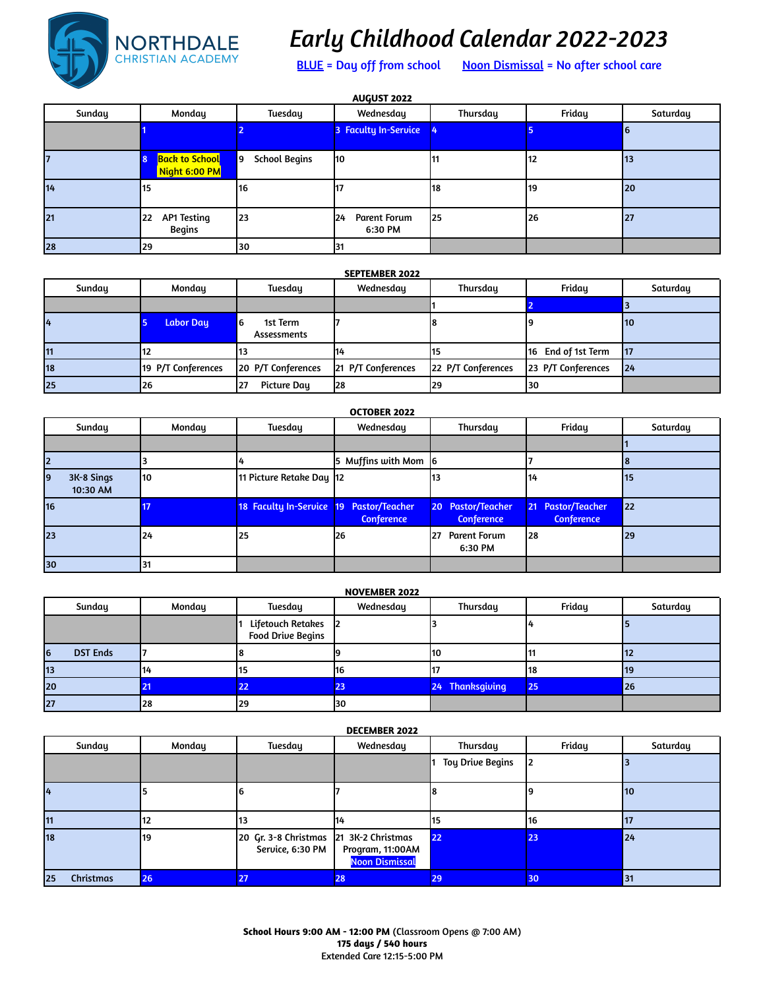

# *Early Childhood Calendar 2022-2023*

BLUE = Day off from school Noon Dismissal = No after school care

| AUGUST 2022 |                                                |                             |                                       |          |        |          |  |  |  |
|-------------|------------------------------------------------|-----------------------------|---------------------------------------|----------|--------|----------|--|--|--|
| Sunday      | Monday                                         | Tuesday                     | Wednesday                             | Thursday | Friday | Saturday |  |  |  |
|             |                                                |                             | 3 Faculty In-Service                  |          |        | 16       |  |  |  |
|             | Back to School <mark>e</mark><br>Night 6:00 PM | <b>School Begins</b><br>l 9 | l10                                   |          | 112    | 113      |  |  |  |
| 14          | 15                                             | 116                         | 117                                   | l18      | 119    | 20       |  |  |  |
| 21          | AP1 Testing<br>22<br>Begins                    | 23                          | <b>Parent Forum</b><br>124<br>6:30 PM | 125      | 26     | 27       |  |  |  |
| 28          | 29                                             | 30                          | 31                                    |          |        |          |  |  |  |

| <b>SEPTEMBER 2022</b> |
|-----------------------|
|-----------------------|

| Sunday | Monday             | Tuesday                             | Wednesday          | Thursday           | Friday             | Saturday  |
|--------|--------------------|-------------------------------------|--------------------|--------------------|--------------------|-----------|
|        |                    |                                     |                    |                    |                    |           |
|        | <b>Labor Day</b>   | 6<br>1st Term<br><b>Assessments</b> |                    |                    |                    | 110       |
| 11     |                    |                                     | 114                |                    | 16 End of 1st Term | <b>17</b> |
| 18     | 19 P/T Conferences | 20 P/T Conferences                  | 21 P/T Conferences | 22 P/T Conferences | 23 P/T Conferences | 24        |
| 25     | 26                 | <b>Picture Day</b><br>27            | 28                 | 29                 | 130                |           |

### **OCTOBER 2022**

| Sunday                       | Monday    | Tuesday                                 | Wednesday            | Thursday                               | Friday                                 | Saturday   |
|------------------------------|-----------|-----------------------------------------|----------------------|----------------------------------------|----------------------------------------|------------|
|                              |           |                                         |                      |                                        |                                        |            |
|                              |           |                                         | 5 Muffins with Mom 6 |                                        |                                        |            |
| 3K-8 Sings<br>19<br>10:30 AM | <b>10</b> | 11 Picture Retake Day  12               |                      |                                        | 114                                    | <b>115</b> |
| 16                           |           | 18 Faculty In-Service 19 Pastor/Teacher | <b>Conference</b>    | 20 Pastor/Teacher<br><b>Conference</b> | 21 Pastor/Teacher<br><b>Conference</b> | 22         |
| 23                           | 124       | 25                                      | <b>126</b>           | 127<br>Parent Forum<br>6:30 PM         | 128                                    | 29         |
| 30                           | 131       |                                         |                      |                                        |                                        |            |

#### **NOVEMBER 2022**

|          | Sunday          | Monday | Tuesday                                         | Wednesday | Thursday        | Friday | Saturday  |
|----------|-----------------|--------|-------------------------------------------------|-----------|-----------------|--------|-----------|
|          |                 |        | Lifetouch Retakes 2<br><b>Food Drive Begins</b> |           |                 |        |           |
| <b>6</b> | <b>DST Ends</b> |        |                                                 |           | I10             |        | ПZ        |
| 13       |                 | 14     | 15                                              | 116       |                 | 118    | 119       |
| 20       |                 |        | 22                                              | 23        | 24 Thanksgiving | 25     | <b>26</b> |
| 27       |                 | 28     | 29                                              | 130       |                 |        |           |

| <b>DECEMBER 2022</b> |        |                                                            |                                           |                         |        |          |  |  |  |
|----------------------|--------|------------------------------------------------------------|-------------------------------------------|-------------------------|--------|----------|--|--|--|
| Sunday               | Monday | <b>Tuesday</b>                                             | Wednesday                                 | Thursday                | Friday | Saturday |  |  |  |
|                      |        |                                                            |                                           | <b>Toy Drive Begins</b> |        |          |  |  |  |
|                      |        |                                                            |                                           |                         |        | 10       |  |  |  |
| 11                   |        | 113                                                        | 114                                       |                         | 116    | 17       |  |  |  |
| 18                   | 19     | 20 Gr. 3-8 Christmas 21 3K-2 Christmas<br>Service, 6:30 PM | Program, 11:00AM<br><b>Noon Dismissal</b> | 22                      | 23     | 24       |  |  |  |
| Christmas<br>25      | 26     | 27                                                         | 28                                        | 29                      | 30     | 131      |  |  |  |